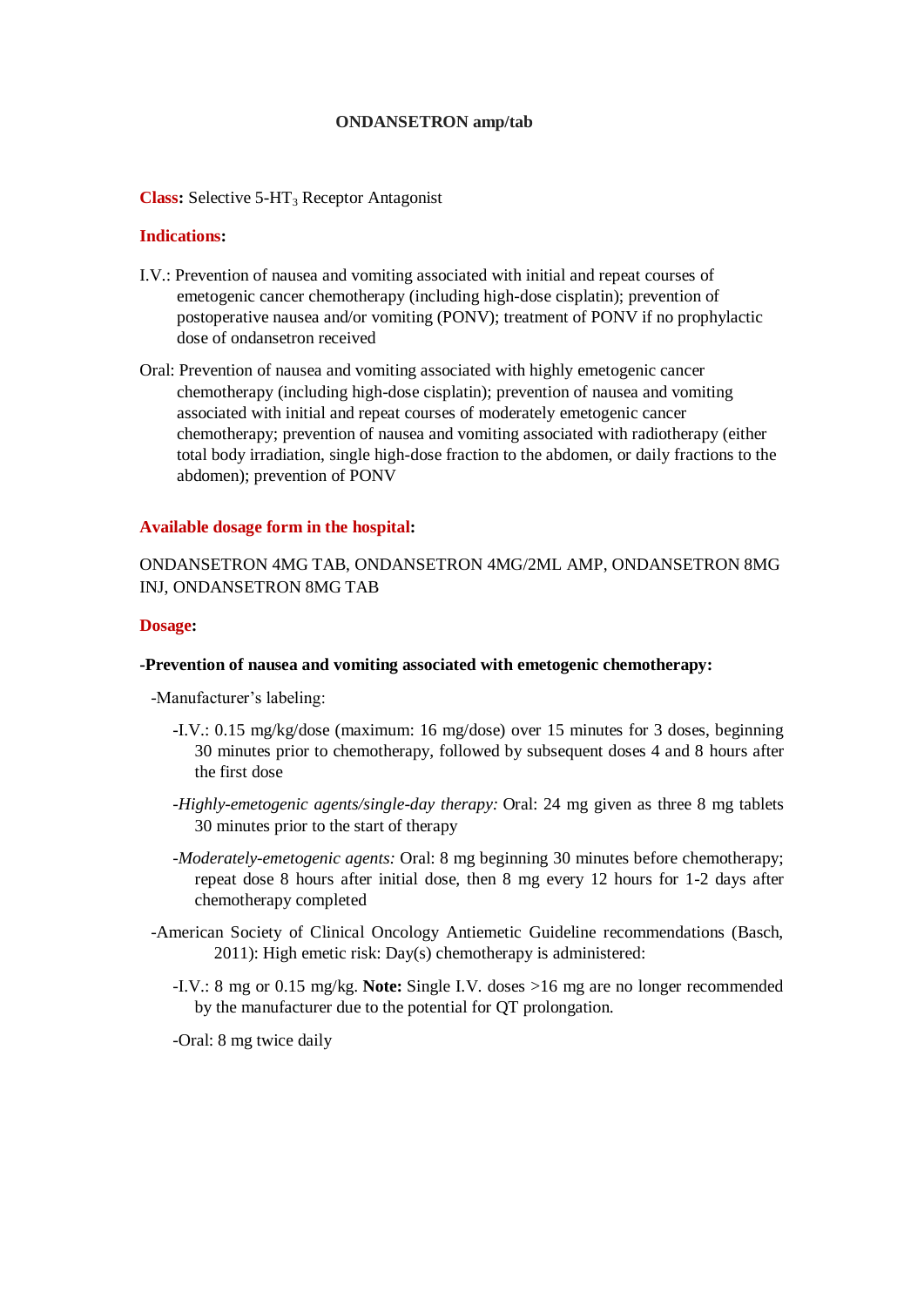## **ONDANSETRON amp/tab**

**Class:** Selective 5-HT<sub>3</sub> Receptor Antagonist

## **Indications:**

- I.V.: Prevention of nausea and vomiting associated with initial and repeat courses of emetogenic cancer chemotherapy (including high-dose cisplatin); prevention of postoperative nausea and/or vomiting (PONV); treatment of PONV if no prophylactic dose of ondansetron received
- Oral: Prevention of nausea and vomiting associated with highly emetogenic cancer chemotherapy (including high-dose cisplatin); prevention of nausea and vomiting associated with initial and repeat courses of moderately emetogenic cancer chemotherapy; prevention of nausea and vomiting associated with radiotherapy (either total body irradiation, single high-dose fraction to the abdomen, or daily fractions to the abdomen); prevention of PONV

#### **Available dosage form in the hospital:**

## ONDANSETRON 4MG TAB, ONDANSETRON 4MG/2ML AMP, ONDANSETRON 8MG INJ, ONDANSETRON 8MG TAB

#### **Dosage:**

#### **-Prevention of nausea and vomiting associated with emetogenic chemotherapy:**

-Manufacturer's labeling:

- -I.V.: 0.15 mg/kg/dose (maximum: 16 mg/dose) over 15 minutes for 3 doses, beginning 30 minutes prior to chemotherapy, followed by subsequent doses 4 and 8 hours after the first dose
- *-Highly-emetogenic agents/single-day therapy:* Oral: 24 mg given as three 8 mg tablets 30 minutes prior to the start of therapy
- *-Moderately-emetogenic agents:* Oral: 8 mg beginning 30 minutes before chemotherapy; repeat dose 8 hours after initial dose, then 8 mg every 12 hours for 1-2 days after chemotherapy completed
- -American Society of Clinical Oncology Antiemetic Guideline recommendations (Basch, 2011): High emetic risk: Day(s) chemotherapy is administered:
	- -I.V.: 8 mg or 0.15 mg/kg. **Note:** Single I.V. doses >16 mg are no longer recommended by the manufacturer due to the potential for QT prolongation.

-Oral: 8 mg twice daily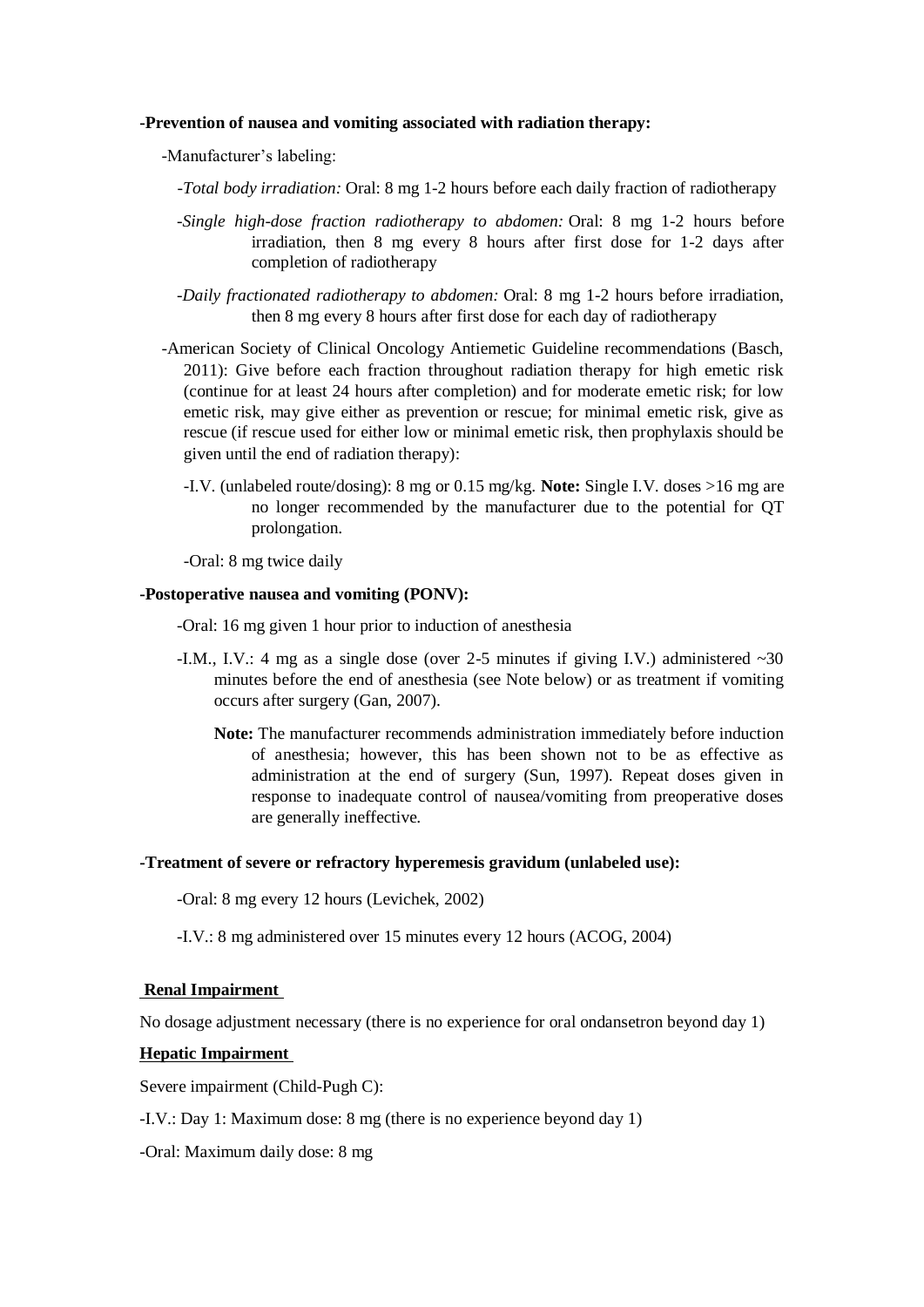## **-Prevention of nausea and vomiting associated with radiation therapy:**

-Manufacturer's labeling:

*-Total body irradiation:* Oral: 8 mg 1-2 hours before each daily fraction of radiotherapy

- *-Single high-dose fraction radiotherapy to abdomen:* Oral: 8 mg 1-2 hours before irradiation, then 8 mg every 8 hours after first dose for 1-2 days after completion of radiotherapy
- *-Daily fractionated radiotherapy to abdomen:* Oral: 8 mg 1-2 hours before irradiation, then 8 mg every 8 hours after first dose for each day of radiotherapy
- -American Society of Clinical Oncology Antiemetic Guideline recommendations (Basch, 2011): Give before each fraction throughout radiation therapy for high emetic risk (continue for at least 24 hours after completion) and for moderate emetic risk; for low emetic risk, may give either as prevention or rescue; for minimal emetic risk, give as rescue (if rescue used for either low or minimal emetic risk, then prophylaxis should be given until the end of radiation therapy):
	- -I.V. (unlabeled route/dosing): 8 mg or 0.15 mg/kg. **Note:** Single I.V. doses >16 mg are no longer recommended by the manufacturer due to the potential for QT prolongation.

-Oral: 8 mg twice daily

## **-Postoperative nausea and vomiting (PONV):**

-Oral: 16 mg given 1 hour prior to induction of anesthesia

- -I.M., I.V.: 4 mg as a single dose (over 2-5 minutes if giving I.V.) administered  $\sim 30$ minutes before the end of anesthesia (see Note below) or as treatment if vomiting occurs after surgery (Gan, 2007).
	- **Note:** The manufacturer recommends administration immediately before induction of anesthesia; however, this has been shown not to be as effective as administration at the end of surgery (Sun, 1997). Repeat doses given in response to inadequate control of nausea/vomiting from preoperative doses are generally ineffective.

#### **-Treatment of severe or refractory hyperemesis gravidum (unlabeled use):**

-Oral: 8 mg every 12 hours (Levichek, 2002)

-I.V.: 8 mg administered over 15 minutes every 12 hours (ACOG, 2004)

## **Renal Impairment**

No dosage adjustment necessary (there is no experience for oral ondansetron beyond day 1)

#### **Hepatic Impairment**

Severe impairment (Child-Pugh C):

-I.V.: Day 1: Maximum dose: 8 mg (there is no experience beyond day 1)

-Oral: Maximum daily dose: 8 mg